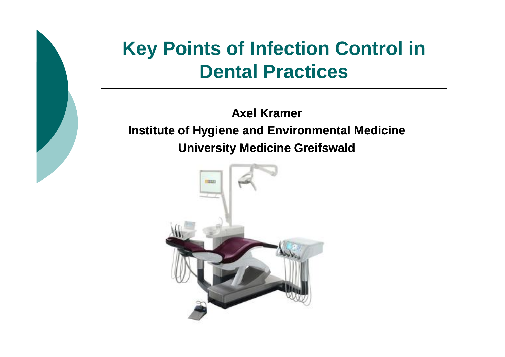# **Key Points of Infection Control in Dental Practices**

**Axel Kramer Institute of Hygiene and Environmental Medicine University Medicine Greifswald** 

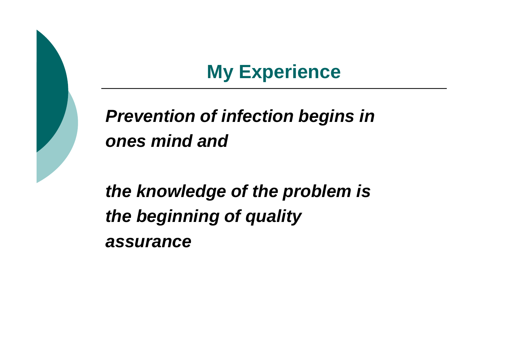# **My Experience**

# *Prevention of infection begins in ones mind and*

*the knowledge of the problem is the beginning of quality assurance*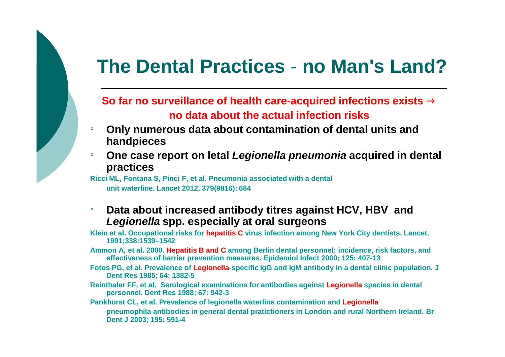## **The Dental Practices** - **no Man's Land?**

#### **So far no surveillance of health care-acquired infections exists ® no data about the actual infection risks**

- ¡ **Only numerous data about contamination of dental units and handpieces**
- ¡ **One case report on letal** *Legionella pneumonia* **acquired in dental practices**

**Ricci ML, Fontana S, Pinci F, et al. Pneumonia associated with a dental unit waterline. Lancet 2012, 379(9816): 684**

#### ¡ **Data about increased antibody titres against HCV, HBV and**  *Legionella* **spp. especially at oral surgeons**

**Klein et al. Occupational risks for hepatitis C virus infection among New York City dentists. Lancet. 1991;338:1539–1542**

- **Ammon A, et al. 2000. Hepatitis B and C among Berlin dental personnel: incidence, risk factors, and effectiveness of barrier prevention measures. Epidemiol Infect 2000; 125: 407-13**
- **Fotos PG, et al. Prevalence of Legionella-specific IgG and IgM antibody in a dental clinic population. J Dent Res 1985; 64: 1382-5**
- **Reinthaler FF, et al. Serological examinations for antibodies against Legionella species in dental personnel. Dent Res 1988; 67: 942-3**

**Pankhurst CL, et al. Prevalence of legionella waterline contamination and Legionella pneumophila antibodies in general dental pratictioners in London and rural Northern Ireland. Br Dent J 2003; 195: 591-4**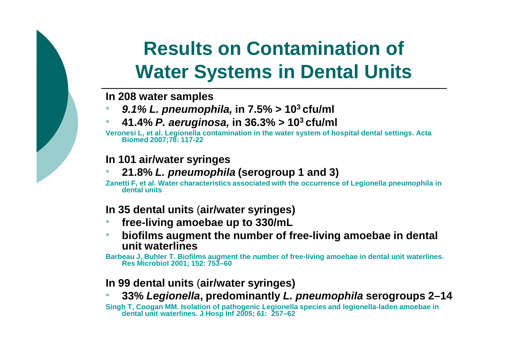# **Results on Contamination of Water Systems in Dental Units**

#### **In 208 water samples**

- ¡ *9.1% L. pneumophila,* **in 7.5% > 10<sup>3</sup>cfu/ml**
- ¡ **41.4%** *P. aeruginosa,* **in 36.3% > 10<sup>3</sup>cfu/ml**

**Veronesi L, et al. Legionella contamination in the water system of hospital dental settings. Acta Biomed 2007;78: 117-22**

#### **In 101 air/water syringes**

#### ¡ **21.8%** *L. pneumophila* **(serogroup 1 and 3)**

**Zanetti F, et al. Water characteristics associated with the occurrence of Legionella pneumophila in dental units** 

#### **In 35 dental units** (**air/water syringes)**

- ¡ **free-living amoebae up to 330/mL**
- ¡ **biofilms augment the number of free-living amoebae in dental unit waterlines**

**Barbeau J, Buhler T. Biofilms augment the number of free-living amoebae in dental unit waterlines. Res Microbiol 2001; 152: 753–60**

#### **In 99 dental units** (**air/water syringes)**

¡ **33%** *Legionella***, predominantly** *L. pneumophila* **serogroups 2–14**

**Singh T, Coogan MM. Isolation of pathogenic Legionella species and legionella-laden amoebae in dental unit waterlines. J Hosp Inf 2005; 61: 257–62**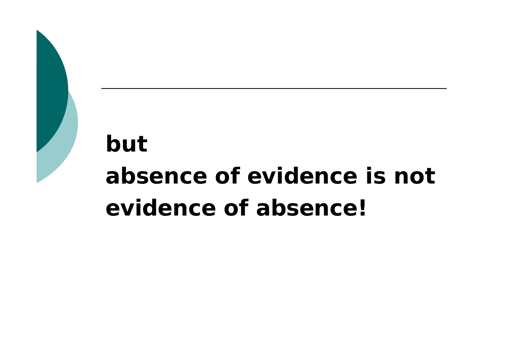# *but absence of evidence is not evidence of absence!*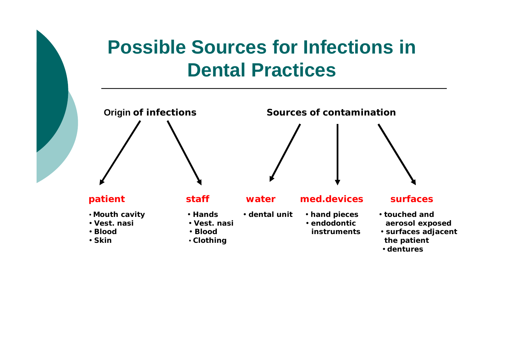# **Possible Sources for Infections in Dental Practices**



**· dentures**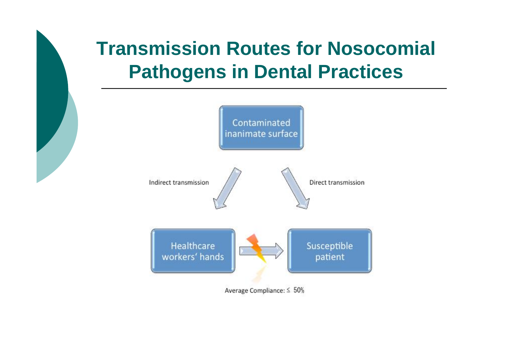# **Transmission Routes for Nosocomial Pathogens in Dental Practices**

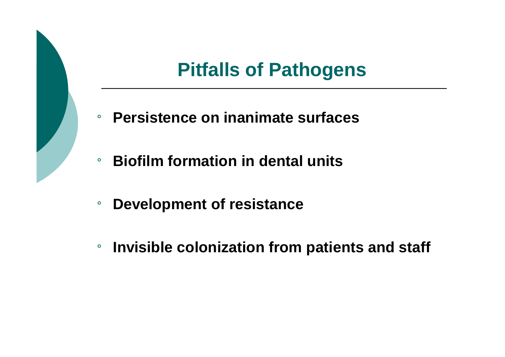# **Pitfalls of Pathogens**

- ¡ **Persistence on inanimate surfaces**
- ¡ **Biofilm formation in dental units**
- ¡ **Development of resistance**
- ¡ **Invisible colonization from patients and staff**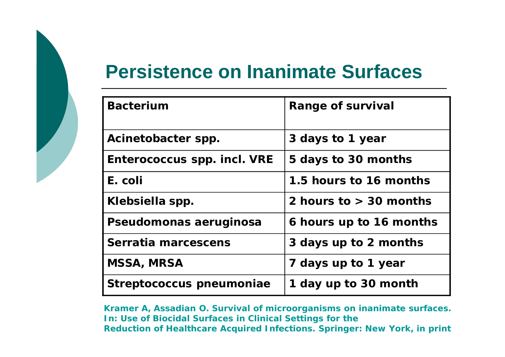## **Persistence on Inanimate Surfaces**

| <b>Bacterium</b>            | <b>Range of survival</b> |
|-----------------------------|--------------------------|
| Acinetobacter spp.          | 3 days to 1 year         |
| Enterococcus spp. incl. VRE | 5 days to 30 months      |
| E. coli                     | 1.5 hours to 16 months   |
| Klebsiella spp.             | 2 hours to $>$ 30 months |
| Pseudomonas aeruginosa      | 6 hours up to 16 months  |
| Serratia marcescens         | 3 days up to 2 months    |
| <b>MSSA, MRSA</b>           | 7 days up to 1 year      |
| Streptococcus pneumoniae    | 1 day up to 30 month     |

**Kramer A, Assadian O. Survival of microorganisms on inanimate surfaces. In: Use of Biocidal Surfaces in Clinical Settings for the Reduction of Healthcare Acquired Infections. Springer: New York, in print**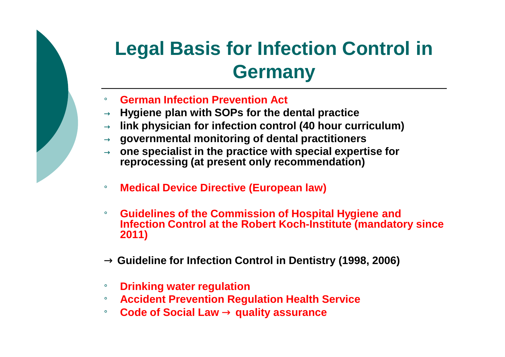# **Legal Basis for Infection Control in Germany**

- ¡ **German Infection Prevention Act**
- → **Hygiene plan with SOPs for the dental practice**
- → **link physician for infection control (40 hour curriculum)**
- → **governmental monitoring of dental practitioners**
- → **one specialist in the practice with special expertise for reprocessing (at present only recommendation)**
- ¡ **Medical Device Directive (European law)**
- ¡ **Guidelines of the Commission of Hospital Hygiene and Infection Control at the Robert Koch-Institute (mandatory since 2011)**
- **® Guideline for Infection Control in Dentistry (1998, 2006)**
- **Drinking water regulation**
- ¡ **Accident Prevention Regulation Health Service**
- ¡ **Code of Social Law ® quality assurance**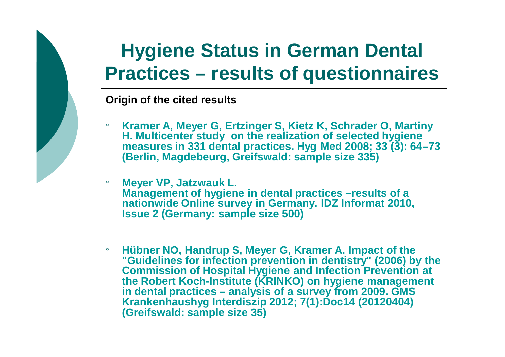# **Hygiene Status in German Dental Practices – results of questionnaires**

**Origin of the cited results**

- ¡ **Kramer A, Meyer G, Ertzinger S, Kietz K, Schrader O, Martiny H. Multicenter study on the realization of selected hygiene measures in 331 dental practices. Hyg Med 2008; 33 (3): 64–73 (Berlin, Magdebeurg, Greifswald: sample size 335)**
- ¡ **Meyer VP, Jatzwauk L. Management of hygiene in dental practices –results of a nationwide Online survey in Germany. IDZ Informat 2010, Issue 2 (Germany: sample size 500)**
- ¡ **Hübner NO, Handrup S, Meyer G, Kramer A. Impact of the "Guidelines for infection prevention in dentistry" (2006) by the Commission of Hospital Hygiene and Infection Prevention at the Robert Koch-Institute (KRINKO) on hygiene management in dental practices – analysis of a survey from 2009. GMS Krankenhaushyg Interdiszip 2012; 7(1):Doc14 (20120404) (Greifswald: sample size 35)**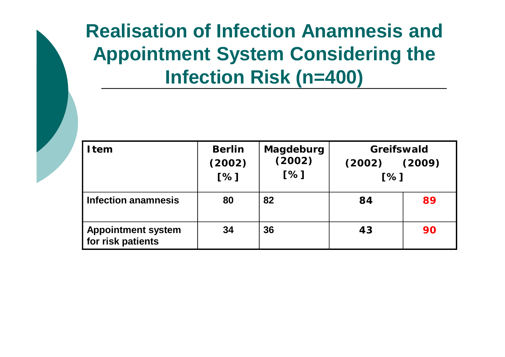# **Realisation of Infection Anamnesis and Appointment System Considering the Infection Risk (n=400)**

| I tem                                          | <b>Berlin</b><br>(2002)<br>[%] | Magdeburg<br>(2002)<br>[%] | <b>Greifswald</b><br>(2002)<br>[%] | (2009) |
|------------------------------------------------|--------------------------------|----------------------------|------------------------------------|--------|
| <b>Infection anamnesis</b>                     | 80                             | 82                         | 84                                 | 89     |
| <b>Appointment system</b><br>for risk patients | 34                             | 36                         | 43                                 | 90     |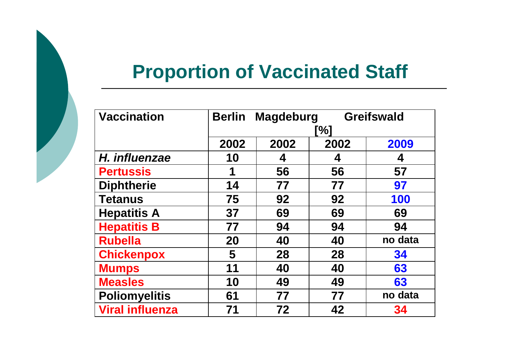# **Proportion of Vaccinated Staff**

| <b>Vaccination</b>     | <b>Greifswald</b><br><b>Magdeburg</b><br><b>Berlin</b> |      |      |         |  |  |
|------------------------|--------------------------------------------------------|------|------|---------|--|--|
|                        |                                                        | `%]  |      |         |  |  |
|                        | 2002                                                   | 2002 | 2002 | 2009    |  |  |
| H. influenzae          | 10                                                     | 4    | 4    | 4       |  |  |
| <b>Pertussis</b>       | 1                                                      | 56   | 56   | 57      |  |  |
| <b>Diphtherie</b>      | 14                                                     | 77   | 77   | 97      |  |  |
| <b>Tetanus</b>         | 75                                                     | 92   | 92   | 100     |  |  |
| <b>Hepatitis A</b>     | 37                                                     | 69   | 69   | 69      |  |  |
| <b>Hepatitis B</b>     | 77                                                     | 94   | 94   | 94      |  |  |
| <b>Rubella</b>         | 20                                                     | 40   | 40   | no data |  |  |
| <b>Chickenpox</b>      | 5                                                      | 28   | 28   | 34      |  |  |
| <b>Mumps</b>           | 11                                                     | 40   | 40   | 63      |  |  |
| <b>Measles</b>         | 10                                                     | 49   | 49   | 63      |  |  |
| <b>Poliomyelitis</b>   | 61                                                     | 77   | 77   | no data |  |  |
| <b>Viral influenza</b> | 71                                                     | 72   | 42   | 34      |  |  |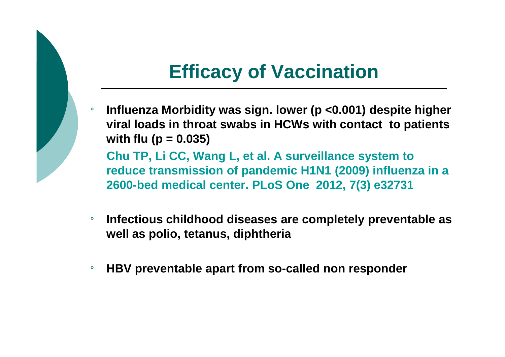# **Efficacy of Vaccination**

¡ **Influenza Morbidity was sign. lower (p <0.001) despite higher viral loads in throat swabs in HCWs with contact to patients with flu (p = 0.035)**

**Chu TP, Li CC, Wang L, et al. A surveillance system to reduce transmission of pandemic H1N1 (2009) influenza in a 2600-bed medical center. PLoS One 2012, 7(3) e32731**

- ¡ **Infectious childhood diseases are completely preventable as well as polio, tetanus, diphtheria**
- ¡ **HBV preventable apart from so-called non responder**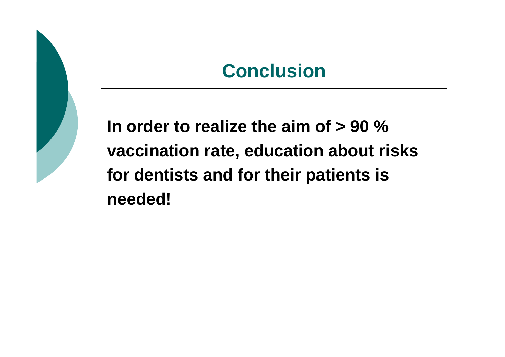## **Conclusion**

**In order to realize the aim of > 90 % vaccination rate, education about risks for dentists and for their patients is needed!**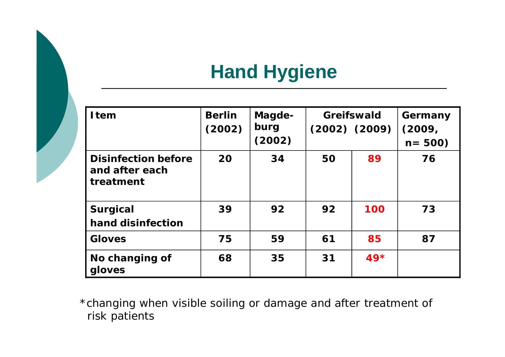# **Hand Hygiene**

| <b>I</b> tem                                              | <b>Berlin</b><br>(2002) | Magde-<br>burg<br>(2002) |    | Greifswald<br>$(2002)$ $(2009)$ | Germany<br>(2009,<br>$n = 500$ |
|-----------------------------------------------------------|-------------------------|--------------------------|----|---------------------------------|--------------------------------|
| <b>Disinfection before</b><br>and after each<br>treatment | 20                      | 34                       | 50 | 89                              | 76                             |
| <b>Surgical</b><br>hand disinfection                      | 39                      | 92                       | 92 | 100                             | 73                             |
| <b>Gloves</b>                                             | 75                      | 59                       | 61 | 85                              | 87                             |
| No changing of<br>gloves                                  | 68                      | 35                       | 31 | $49*$                           |                                |

\*changing when visible soiling or damage and after treatment of risk patients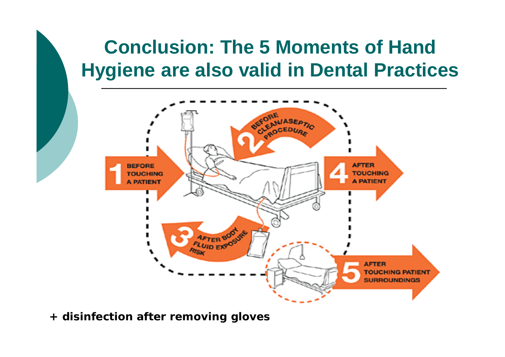# **Conclusion: The 5 Moments of Hand Hygiene are also valid in Dental Practices**



**+ disinfection after removing gloves**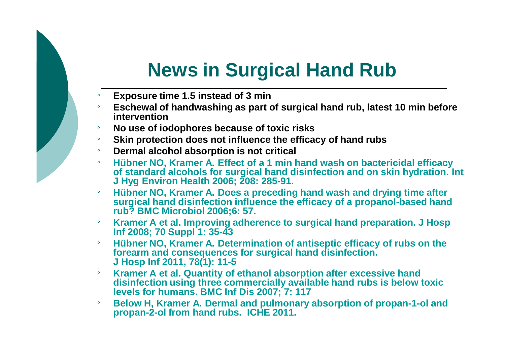# **News in Surgical Hand Rub**

- ¡ **Exposure time 1.5 instead of 3 min**
- ¡ **Eschewal of handwashing as part of surgical hand rub, latest 10 min before intervention**
- ¡ **No use of iodophores because of toxic risks**
- ¡ **Skin protection does not influence the efficacy of hand rubs**
- ¡ **Dermal alcohol absorption is not critical**
- ¡ **Hübner NO, Kramer A. Effect of a 1 min hand wash on bactericidal efficacy of standard alcohols for surgical hand disinfection and on skin hydration. Int J Hyg Environ Health 2006; 208: 285-91.**
- ¡ **Hübner NO, Kramer A. Does a preceding hand wash and drying time after surgical hand disinfection influence the efficacy of a propanol-based hand rub? BMC Microbiol 2006;6: 57.**
- ¡ **Kramer A et al. Improving adherence to surgical hand preparation. J Hosp Inf 2008; 70 Suppl 1: 35-43**
- ¡ **Hübner NO, Kramer A. Determination of antiseptic efficacy of rubs on the forearm and consequences for surgical hand disinfection. J Hosp Inf 2011, 78(1): 11-5**
- ¡ **Kramer A et al. Quantity of ethanol absorption after excessive hand disinfection using three commercially available hand rubs is below toxic levels for humans. BMC Inf Dis 2007; 7: 117**
- ¡ **Below H, Kramer A. Dermal and pulmonary absorption of propan-1-ol and propan-2-ol from hand rubs. ICHE 2011.**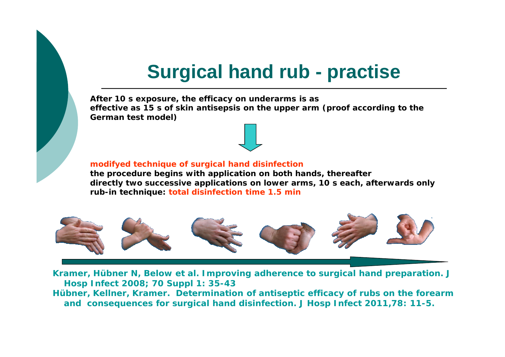# **Surgical hand rub - practise**

**After 10 s exposure, the efficacy on underarms is as effective as 15 s of skin antisepsis on the upper arm (proof according to the German test model)** 

#### **modifyed technique of surgical hand disinfection**

**the procedure begins with application on both hands, thereafter directly two successive applications on lower arms, 10 s each, afterwards only rub-in technique: total disinfection time 1.5 min**



**Kramer, Hübner N, Below et al. Improving adherence to surgical hand preparation. J Hosp Infect 2008; 70 Suppl 1: 35-43 Hübner, Kellner, Kramer. Determination of antiseptic efficacy of rubs on the forearm and consequences for surgical hand disinfection. J Hosp Infect 2011,78: 11-5.**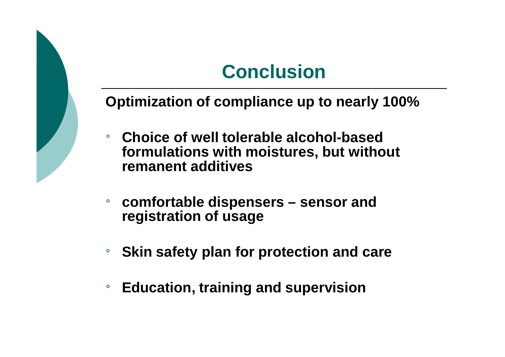# **Conclusion**

**Optimization of compliance up to nearly 100%**

- ¡ **Choice of well tolerable alcohol-based formulations with moistures, but without remanent additives**
- ¡ **comfortable dispensers – sensor and registration of usage**
- ¡ **Skin safety plan for protection and care**
- ¡ **Education, training and supervision**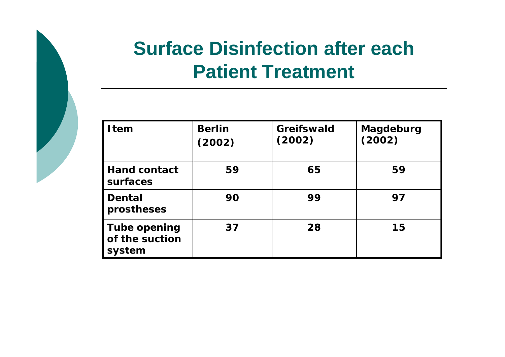# **Surface Disinfection after each Patient Treatment**

| <b>I</b> tem                                    | <b>Berlin</b><br>(2002) | <b>Greifswald</b><br>(2002) | Magdeburg<br>(2002) |
|-------------------------------------------------|-------------------------|-----------------------------|---------------------|
| <b>Hand contact</b><br>surfaces                 | 59                      | 65                          | 59                  |
| Dental<br>prostheses                            | 90                      | 99                          | 97                  |
| <b>Tube opening</b><br>of the suction<br>system | 37                      | 28                          | 15                  |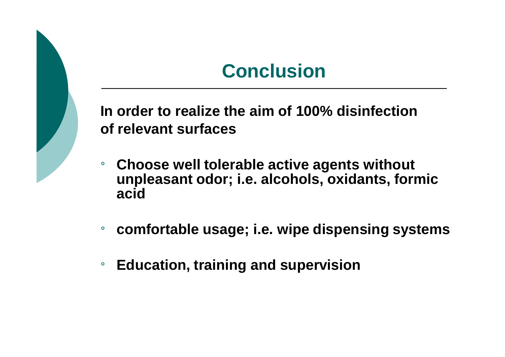# **Conclusion**

**In order to realize the aim of 100% disinfection of relevant surfaces**

- ¡ **Choose well tolerable active agents without unpleasant odor; i.e. alcohols, oxidants, formic acid**
- ¡ **comfortable usage; i.e. wipe dispensing systems**
- ¡ **Education, training and supervision**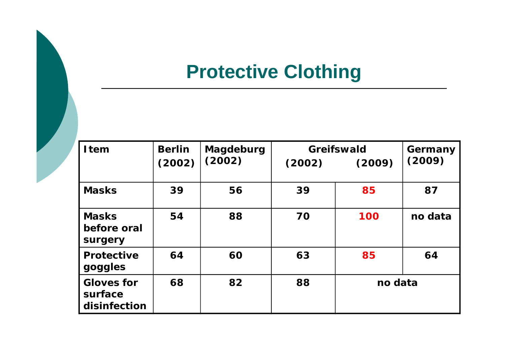# **Protective Clothing**

| <b>I</b> tem                                 | <b>Berlin</b> | Magdeburg | Greifswald |         | Germany |
|----------------------------------------------|---------------|-----------|------------|---------|---------|
|                                              | (2002)        | (2002)    | (2002)     | (2009)  | (2009)  |
| <b>Masks</b>                                 | 39            | 56        | 39         | 85      | 87      |
| <b>Masks</b><br>before oral<br>surgery       | 54            | 88        | 70         | 100     | no data |
| <b>Protective</b><br>goggles                 | 64            | 60        | 63         | 85      | 64      |
| <b>Gloves for</b><br>surface<br>disinfection | 68            | 82        | 88         | no data |         |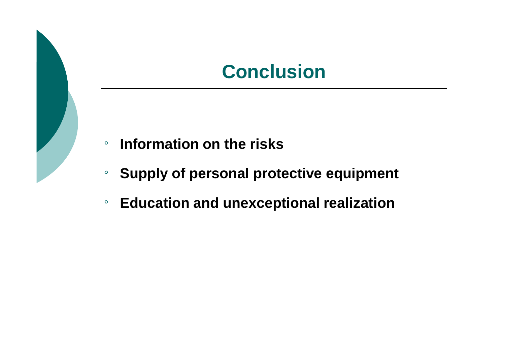## **Conclusion**

- ¡ **Information on the risks**
- ¡ **Supply of personal protective equipment**
- ¡ **Education and unexceptional realization**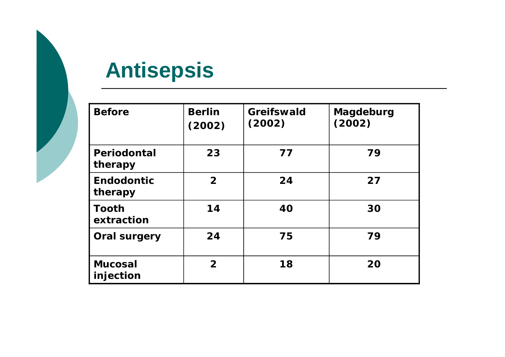# **Antisepsis**

| <b>Before</b>                | <b>Berlin</b><br>(2002) | <b>Greifswald</b><br>(2002) | Magdeburg<br>(2002) |
|------------------------------|-------------------------|-----------------------------|---------------------|
| Periodontal<br>therapy       | 23                      | 77                          | 79                  |
| <b>Endodontic</b><br>therapy | $\overline{2}$          | 24                          | 27                  |
| <b>Tooth</b><br>extraction   | 14                      | 40                          | 30                  |
| <b>Oral surgery</b>          | 24                      | 75                          | 79                  |
| <b>Mucosal</b><br>injection  | $\overline{2}$          | 18                          | 20                  |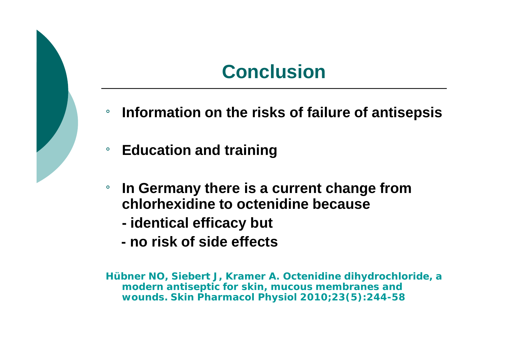## **Conclusion**

- ¡ **Information on the risks of failure of antisepsis**
- ¡ **Education and training**
- **ln Germany there is a current change from chlorhexidine to octenidine because**
	- **- identical efficacy but**
	- **- no risk of side effects**

**Hübner NO, Siebert J, Kramer A. Octenidine dihydrochloride, a modern antiseptic for skin, mucous membranes and wounds. Skin Pharmacol Physiol 2010;23(5):244-58**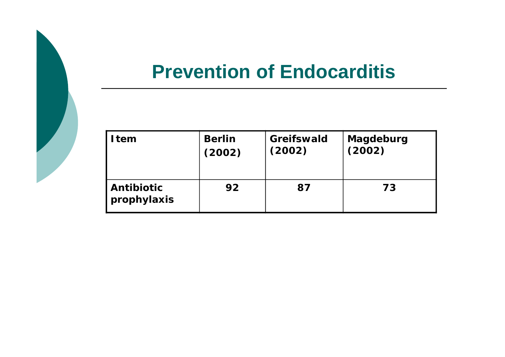## **Prevention of Endocarditis**

| I tem                     | <b>Berlin</b> | Greifswald | Magdeburg |
|---------------------------|---------------|------------|-----------|
|                           | (2002)        | (2002)     | (2002)    |
| Antibiotic<br>prophylaxis | 92            | 87         | 73        |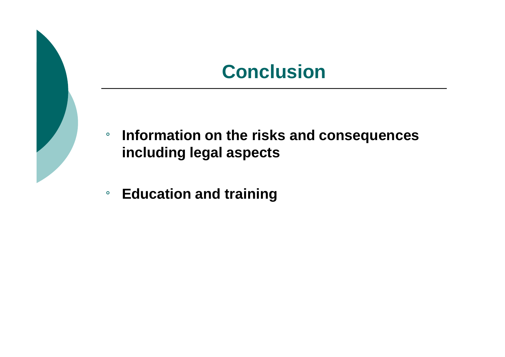## **Conclusion**

- ¡ **Information on the risks and consequences including legal aspects**
- ¡ **Education and training**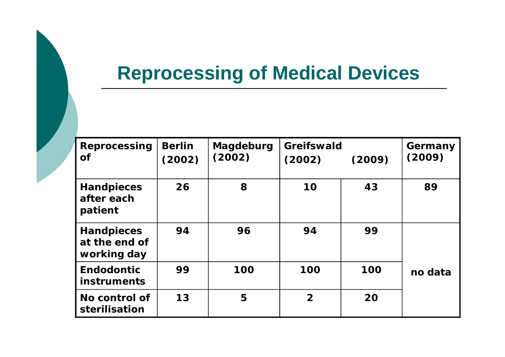# **Reprocessing of Medical Devices**

| Reprocessing<br><b>of</b>                         | <b>Berlin</b><br>(2002) | Magdeburg<br>(2002) | <b>Greifswald</b><br>(2002) | (2009) | Germany<br>(2009) |
|---------------------------------------------------|-------------------------|---------------------|-----------------------------|--------|-------------------|
| <b>Handpieces</b><br>after each<br>patient        | 26                      | 8                   | 10                          | 43     | 89                |
| <b>Handpieces</b><br>at the end of<br>working day | 94                      | 96                  | 94                          | 99     |                   |
| <b>Endodontic</b><br><b>instruments</b>           | 99                      | 100                 | 100                         | 100    | no data           |
| No control of<br>sterilisation                    | 13                      | 5                   | $\overline{2}$              | 20     |                   |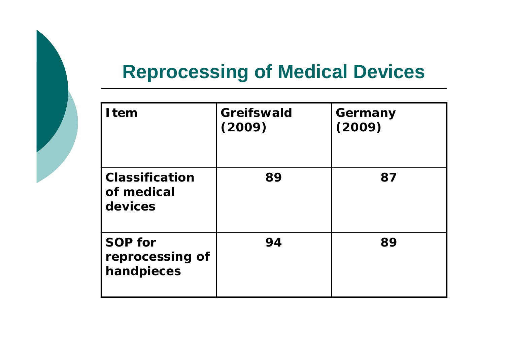# **Reprocessing of Medical Devices**

| <b>I</b> tem                                    | Greifswald<br>(2009) | Germany<br>(2009) |
|-------------------------------------------------|----------------------|-------------------|
| <b>Classification</b><br>of medical<br>devices  | 89                   | 87                |
| <b>SOP for</b><br>reprocessing of<br>handpieces | 94                   | 89                |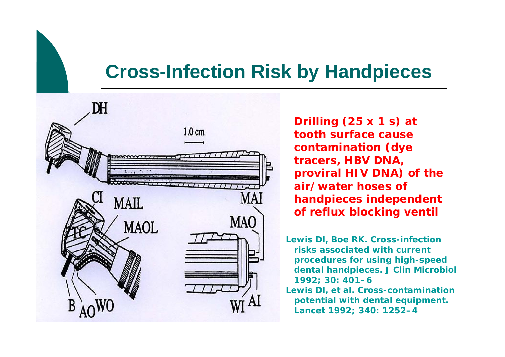## **Cross-Infection Risk by Handpieces**



**Drilling (25 x 1 s) at tooth surface cause contamination (dye tracers, HBV DNA, proviral HIV DNA) of the air/water hoses of handpieces independent of reflux blocking ventil**

**Lewis Dl, Boe RK. Cross-infection risks associated with current procedures for using high-speed dental handpieces. J Clin Microbiol 1992; 30: 401–6**

**Lewis Dl, et al. Cross-contamination potential with dental equipment. Lancet 1992; 340: 1252–4**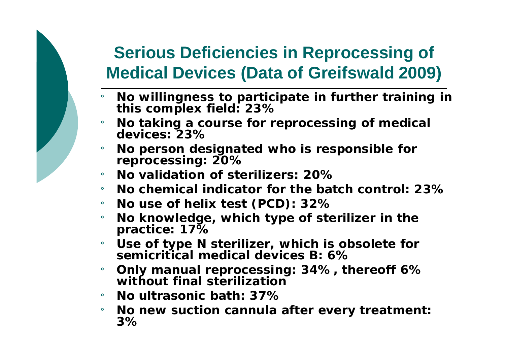## **Serious Deficiencies in Reprocessing of Medical Devices (Data of Greifswald 2009)**

- ¡ **No willingness to participate in further training in this complex field: 23%**
- ¡ **No taking a course for reprocessing of medical devices: 23%**
- ¡ **No person designated who is responsible for reprocessing: 20%**
- ¡ **No validation of sterilizers: 20%**
- ¡ **No chemical indicator for the batch control: 23%**
- ¡ **No use of helix test (PCD): 32%**
- ¡ **No knowledge, which type of sterilizer in the practice: 17%**
- ¡ **Use of type N sterilizer, which is obsolete for semicritical medical devices B: 6%**
- ¡ **Only manual reprocessing: 34%, thereoff 6% without final sterilization**
- ¡ **No ultrasonic bath: 37%**
- ¡ **No new suction cannula after every treatment: 3%**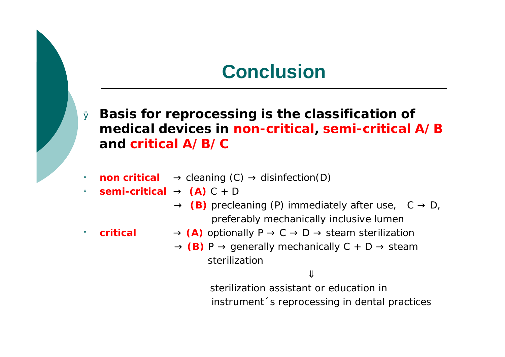## **Conclusion**

- <sup>Ø</sup> **Basis for reprocessing is the classification of medical devices in non-critical, semi-critical A/B and critical A/B/C**
- $\mathbf{p}$  **non critical**  $\rightarrow$  cleaning (C)  $\rightarrow$  disinfection(D)
- $\mathbf{s}$ **semi-critical**  $\rightarrow$  **(A)** C + D
	- $\rightarrow$  (B) precleaning (P) immediately after use,  $C \rightarrow D$ , preferably mechanically inclusive lumen
- $\mathsf{c}$  **critical**  $\rightarrow$  (A) optionally  $\mathsf{P} \rightarrow \mathsf{C} \rightarrow \mathsf{D} \rightarrow$  steam sterilization
	- $\rightarrow$  (B) P  $\rightarrow$  generally mechanically C + D  $\rightarrow$  steam sterilization

**ß**

sterilization assistant or education in instrument´s reprocessing in dental practices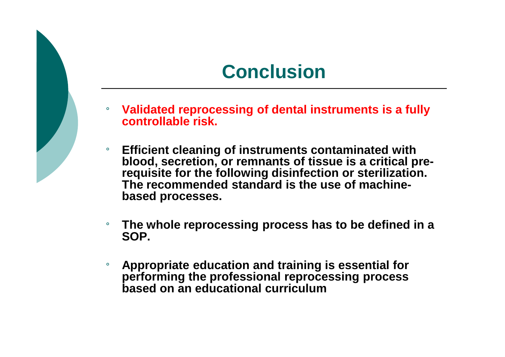## **Conclusion**

- ¡ **Validated reprocessing of dental instruments is a fully controllable risk.**
	- **Efficient cleaning of instruments contaminated with blood, secretion, or remnants of tissue is a critical prerequisite for the following disinfection or sterilization. The recommended standard is the use of machinebased processes.**
- ¡ **The whole reprocessing process has to be defined in a SOP.**
- ¡ **Appropriate education and training is essential for performing the professional reprocessing process based on an educational curriculum**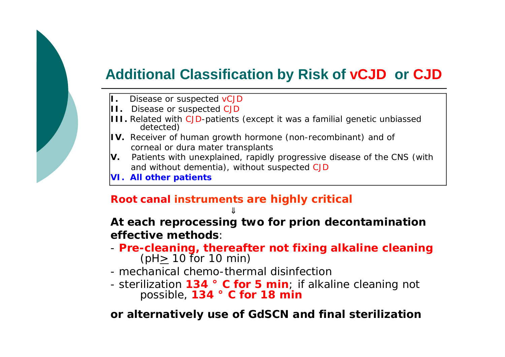#### **Additional Classification by Risk of vCJD or CJD**

- **I.** Disease or suspected vCJD
- **II.** Disease or suspected CJD
- **III.** Related with CJD-patients (except it was a familial genetic unbiassed detected)
- **IV.** Receiver of human growth hormone (non-recombinant) and of corneal or dura mater transplants
- **V.** Patients with unexplained, rapidly progressive disease of the CNS (with and without dementia), without suspected CJD
- **VI. All other patients**

#### **Root canal instruments are highly critical**

**ß**

**At each reprocessing two for prion decontamination effective methods**:

- **Pre-cleaning, thereafter not fixing alkaline cleaning** (pH> 10 for 10 min)
- mechanical chemo-thermal disinfection
- sterilization **134 ° C for 5 min**; if alkaline cleaning not possible, **134 ° C for 18 min**

**or alternatively use of GdSCN and final sterilization**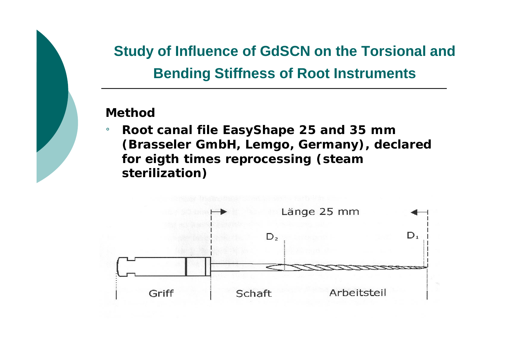### **Study of Influence of GdSCN on the Torsional and Bending Stiffness of Root Instruments**

#### **Method**

¡ **Root canal file EasyShape 25 and 35 mm (Brasseler GmbH, Lemgo, Germany), declared for eigth times reprocessing (steam sterilization)**

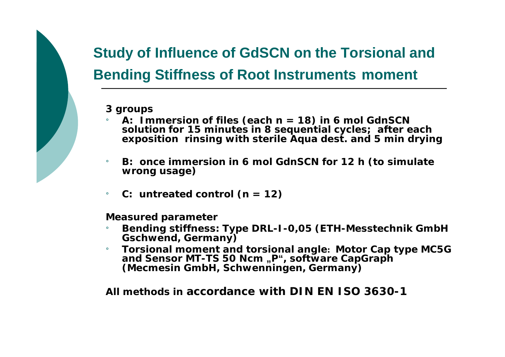# **Study of Influence of GdSCN on the Torsional and Bending Stiffness of Root Instruments moment**

**3 groups**

- ¡ **A: Immersion of files (each n = 18) in 6 mol GdnSCN solution for 15 minutes in 8 sequential cycles; after each exposition rinsing with sterile Aqua dest. and 5 min drying**
- ¡ **B: once immersion in 6 mol GdnSCN for 12 h (to simulate wrong usage)**
- $C:$  **untreated** control  $(n = 12)$

**Measured parameter**

- ¡ **Bending stiffness: Type DRL-I-0,05 (ETH-Messtechnik GmbH Gschwend, Germany)**
- ¡ **Torsional moment and torsional angle: Motor Cap type MC5G and Sensor MT-TS 50 Ncm "P", software CapGraph (Mecmesin GmbH, Schwenningen, Germany)**

**All methods in accordance with DIN EN ISO 3630-1**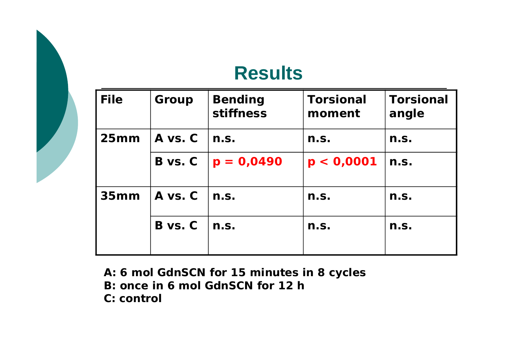### **Results**

| <b>File</b> | Group   | <b>Bending</b><br>stiffness | <b>Torsional</b><br>moment | <b>Torsional</b><br>angle |
|-------------|---------|-----------------------------|----------------------------|---------------------------|
| 25mm        | A vs. C | n.S.                        | n.s.                       | n.s.                      |
|             | B vs. C | $ p = 0,0490$               | p < 0,0001                 | n.s.                      |
| 35mm        | A vs. C | n.S.                        | n.s.                       | n.S.                      |
|             | B vs. C | n.S.                        | n.s.                       | n.s.                      |

**A: 6 mol GdnSCN for 15 minutes in 8 cycles**

**B: once in 6 mol GdnSCN for 12 h**

**C: control**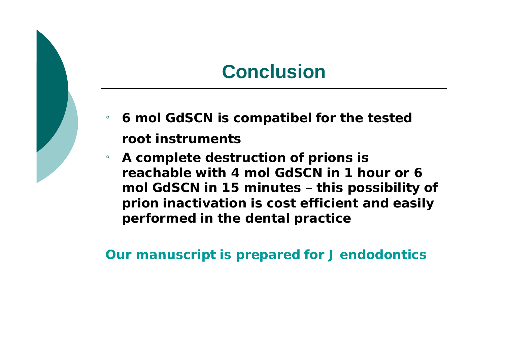## **Conclusion**

- ¡ **6 mol GdSCN is compatibel for the tested root instruments**
- ¡ **A complete destruction of prions is reachable with 4 mol GdSCN in 1 hour or 6 mol GdSCN in 15 minutes – this possibility of prion inactivation is cost efficient and easily performed in the dental practice**

**Our manuscript is prepared for J endodontics**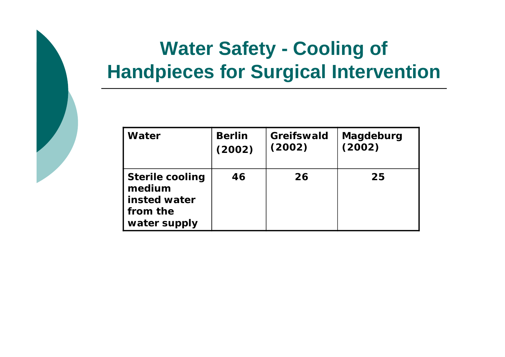# **Water Safety - Cooling of Handpieces for Surgical Intervention**

| Water                                                                        | <b>Berlin</b> | <b>Greifswald</b> | Magdeburg |
|------------------------------------------------------------------------------|---------------|-------------------|-----------|
|                                                                              | (2002)        | (2002)            | (2002)    |
| <b>Sterile cooling</b><br>medium<br>insted water<br>from the<br>water supply | 46            | 26                | 25        |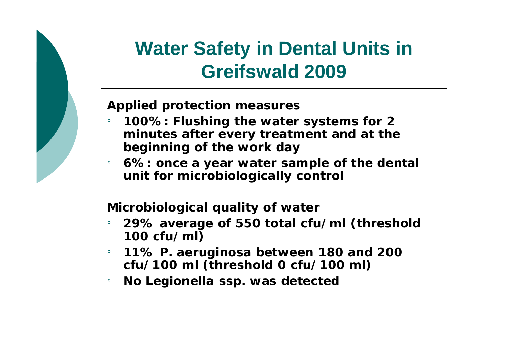# **Water Safety in Dental Units in Greifswald 2009**

**Applied protection measures**

- ¡ **100%: Flushing the water systems for 2 minutes after every treatment and at the beginning of the work day**
- ¡ **6%: once a year water sample of the dental unit for microbiologically control**

**Microbiological quality of water** 

- ¡ **29% average of 550 total cfu/ml (threshold 100 cfu/ml)**
- ¡ **11%** *P. aeruginosa* **between 180 and 200 cfu/100 ml (threshold 0 cfu/100 ml)**
- ¡ *No Legionella* **ssp. was detected**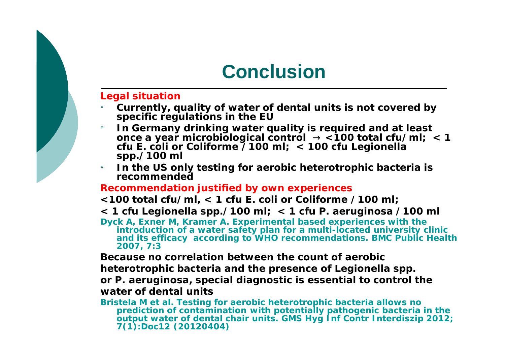## **Conclusion**

#### **Legal situation**

- ¡ **Currently, quality of water of dental units is not covered by specific regulations in the EU**
- ¡ **In Germany drinking water quality is required and at least once a year microbiological control ® <100 total cfu/ml; < 1 cfu** *E. coli* **or** *Coliforme* **/100 ml; < 100 cfu** *Legionella* **spp./100 ml**
- ¡ **In the US only testing for aerobic heterotrophic bacteria is recommended**

#### **Recommendation justified by own experiences**

- **<100 total cfu/ml, < 1 cfu** *E. coli* **or** *Coliforme* **/100 ml;**
- **< 1 cfu** *Legionella* **spp./100 ml; < 1 cfu** *P. aeruginosa* **/100 ml**

**Dyck A, Exner M, Kramer A. Experimental based experiences with the introduction of a water safety plan for a multi-located university clinic and its efficacy according to WHO recommendations. BMC Public Health 2007, 7:3** 

**Because no correlation between the count of aerobic** 

**heterotrophic bacteria and the presence of** *Legionella* **spp.** 

**or** *P. aeruginosa,* **special diagnostic is essential to control the water of dental units**

**Bristela M et al. Testing for aerobic heterotrophic bacteria allows no prediction of contamination with potentially pathogenic bacteria in the output water of dental chair units. GMS Hyg Inf Contr Interdiszip 2012; 7(1):Doc12 (20120404)**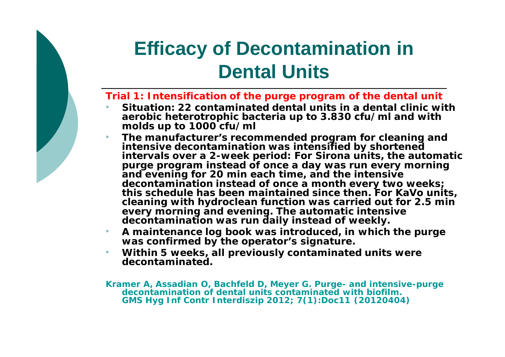# **Efficacy of Decontamination in Dental Units**

#### **Trial 1: Intensification of the purge program of the dental unit**

- ¡ **Situation: 22 contaminated dental units in a dental clinic with aerobic heterotrophic bacteria up to 3.830 cfu/ml and with molds up to 1000 cfu/ml**
- ¡ **The manufacturer's recommended program for cleaning and intensive decontamination was intensified by shortened intervals over a 2-week period: For Sirona units, the automatic purge program instead of once a day was run every morning and evening for 20 min each time, and the intensive decontamination instead of once a month every two weeks; this schedule has been maintained since then. For KaVo units, cleaning with hydroclean function was carried out for 2.5 min every morning and evening. The automatic intensive decontamination was run daily instead of weekly.**
- ¡ **A maintenance log book was introduced, in which the purge was confirmed by the operator's signature.**
- ¡ **Within 5 weeks, all previously contaminated units were decontaminated.**

**Kramer A, Assadian O, Bachfeld D, Meyer G. Purge- and intensive-purge decontamination of dental units contaminated with biofilm. GMS Hyg Inf Contr Interdiszip 2012; 7(1):Doc11 (20120404)**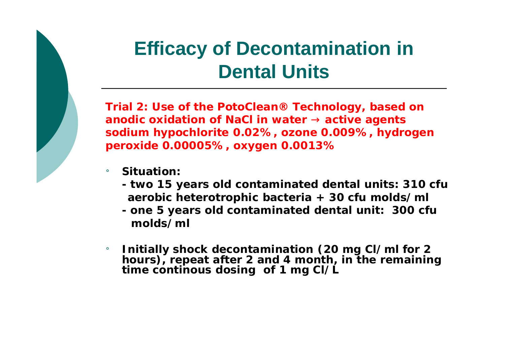# **Efficacy of Decontamination in Dental Units**

**Trial 2: Use of the PotoClean® Technology, based on anodic oxidation of NaCl in water ® active agents sodium hypochlorite 0.02%, ozone 0.009%, hydrogen peroxide 0.00005%, oxygen 0.0013%**

- Situation:
	- **- two 15 years old contaminated dental units: 310 cfu aerobic heterotrophic bacteria + 30 cfu molds/ml**
	- **- one 5 years old contaminated dental unit: 300 cfu molds/ml**
- ¡ **Initially shock decontamination (20 mg Cl/ml for 2 hours), repeat after 2 and 4 month, in the remaining time continous dosing of 1 mg Cl/L**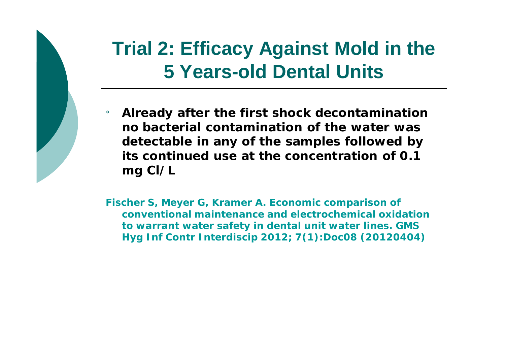# **Trial 2: Efficacy Against Mold in the 5 Years-old Dental Units**

¡ **Already after the first shock decontamination no bacterial contamination of the water was detectable in any of the samples followed by its continued use at the concentration of 0.1 mg Cl/L**

**Fischer S, Meyer G, Kramer A. Economic comparison of conventional maintenance and electrochemical oxidation to warrant water safety in dental unit water lines. GMS Hyg Inf Contr Interdiscip 2012; 7(1):Doc08 (20120404)**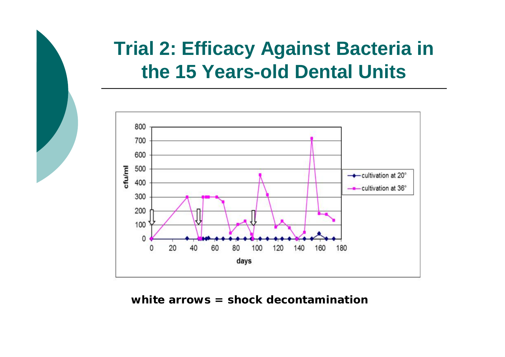# **Trial 2: Efficacy Against Bacteria in the 15 Years-old Dental Units**



**white arrows = shock decontamination**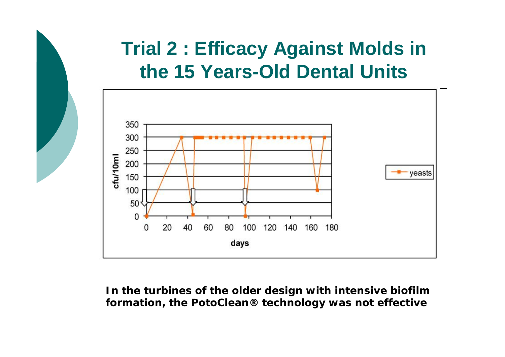# **Trial 2 : Efficacy Against Molds in the 15 Years-Old Dental Units**



**In the turbines of the older design with intensive biofilm formation, the PotoClean® technology was not effective**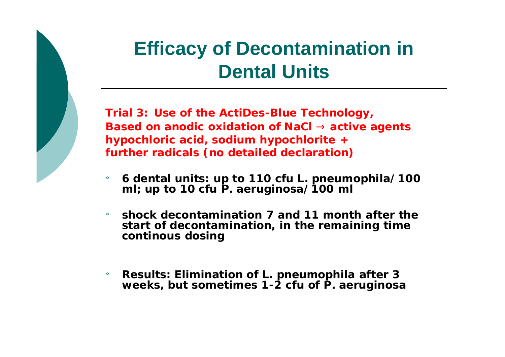# **Efficacy of Decontamination in Dental Units**

**Trial 3: Use of the ActiDes-Blue Technology, Based on anodic oxidation of NaCl ® active agents hypochloric acid, sodium hypochlorite + further radicals (no detailed declaration)**

- ¡ **6 dental units: up to 110 cfu** *L. pneumophila***/100 ml; up to 10 cfu** *P. aeruginosa***/100 ml**
- ¡ **shock decontamination 7 and 11 month after the start of decontamination, in the remaining time continous dosing**
- ¡ **Results: Elimination of** *L. pneumophila* **after 3 weeks, but sometimes 1-2 cfu of** *P. aeruginosa*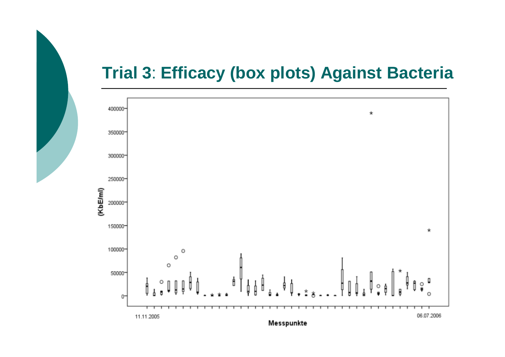### **Trial 3**: **Efficacy (box plots) Against Bacteria**

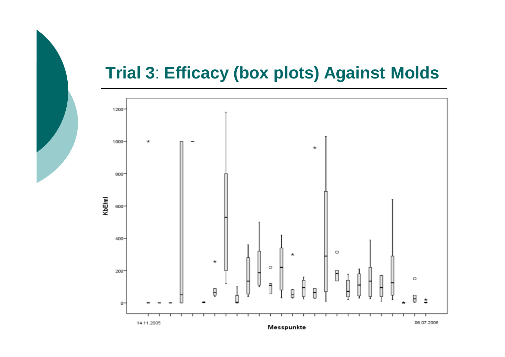### **Trial 3**: **Efficacy (box plots) Against Molds**

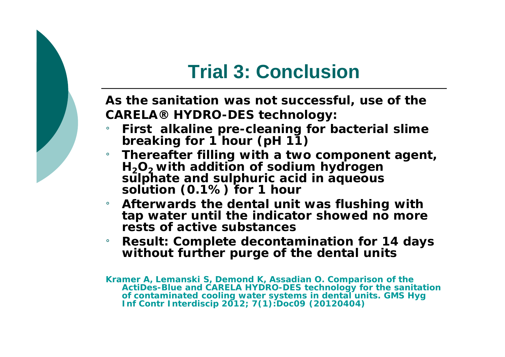# **Trial 3: Conclusion**

**As the sanitation was not successful, use of the CARELA® HYDRO-DES technology:**

- ¡ **First alkaline pre-cleaning for bacterial slime breaking for 1 hour (pH 11)**
- ¡ **Thereafter filling with a two component agent, H2O2 with addition of sodium hydrogen sulphate and sulphuric acid in aqueous solution (0.1%) for 1 hour**
- ¡ **Afterwards the dental unit was flushing with tap water until the indicator showed no more rests of active substances**
- ¡ **Result: Complete decontamination for 14 days without further purge of the dental units**

**Kramer A, Lemanski S, Demond K, Assadian O. Comparison of the ActiDes-Blue and CARELA HYDRO-DES technology for the sanitation of contaminated cooling water systems in dental units. GMS Hyg Inf Contr Interdiscip 2012; 7(1):Doc09 (20120404)**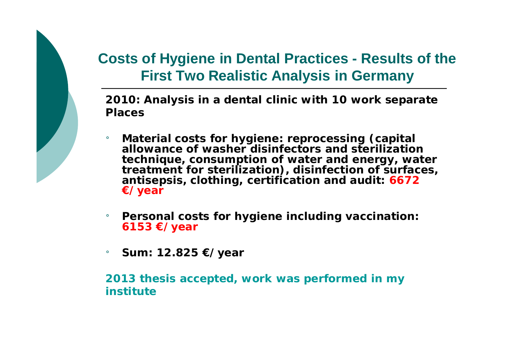### **Costs of Hygiene in Dental Practices - Results of the First Two Realistic Analysis in Germany**

**2010: Analysis in a dental clinic with 10 work separate Places** 

- ¡ **Material costs for hygiene: reprocessing (capital allowance of washer disinfectors and sterilization technique, consumption of water and energy, water treatment for sterilization), disinfection of surfaces, antisepsis, clothing, certification and audit: 6672 €/year**
- **Personal costs for hygiene including vaccination: 6153 €/year**
- ¡ **Sum: 12.825 €/year**

**2013 thesis accepted, work was performed in my institute**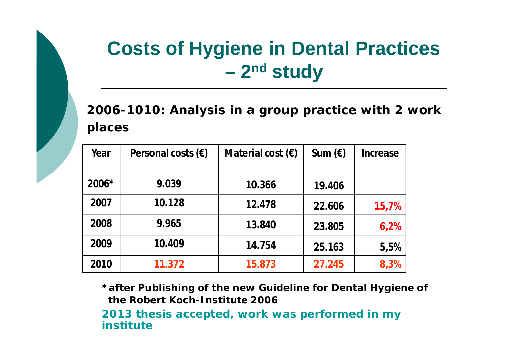# **Costs of Hygiene in Dental Practices – 2nd study**

**2006-1010: Analysis in a group practice with 2 work places**

| Year    | Personal costs $(\epsilon)$ | Material cost $(\epsilon)$ | Sum $(\epsilon)$ | Increase |
|---------|-----------------------------|----------------------------|------------------|----------|
|         |                             |                            |                  |          |
| $2006*$ | 9.039                       | 10.366                     | 19.406           |          |
| 2007    | 10.128                      | 12.478                     | 22.606           | 15,7%    |
| 2008    | 9.965                       | 13.840                     | 23.805           | 6,2%     |
| 2009    | 10.409                      | 14.754                     | 25.163           | 5,5%     |
| 2010    | 11.372                      | 15.873                     | 27.245           | 8,3%     |

**\*after Publishing of the new Guideline for Dental Hygiene of the Robert Koch-Institute 2006**

**2013 thesis accepted, work was performed in my institute**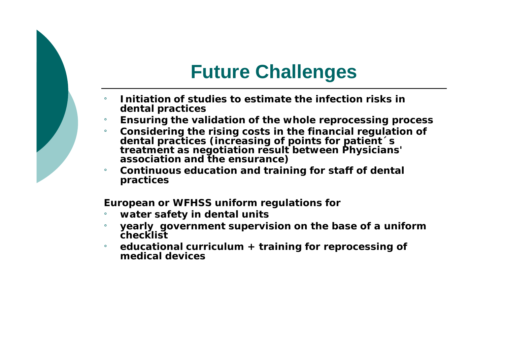# **Future Challenges**

- ¡ **Initiation of studies to estimate the infection risks in dental practices**
- ¡ **Ensuring the validation of the whole reprocessing process**
- ¡ **Considering the rising costs in the financial regulation of dental practices (increasing of points for patient´s treatment as negotiation result between Physicians' association and the ensurance)**
- ¡ **Continuous education and training for staff of dental practices**

**European or WFHSS uniform regulations for**

- ¡ **water safety in dental units**
- ¡ **yearly government supervision on the base of a uniform checklist**
- ¡ **educational curriculum + training for reprocessing of medical devices**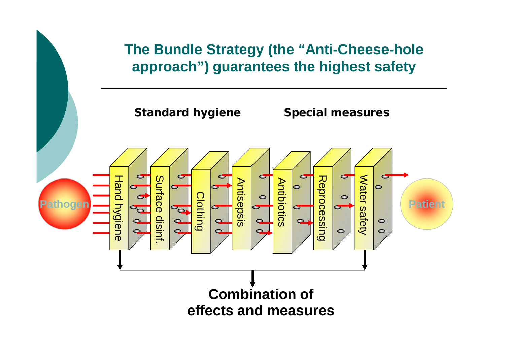